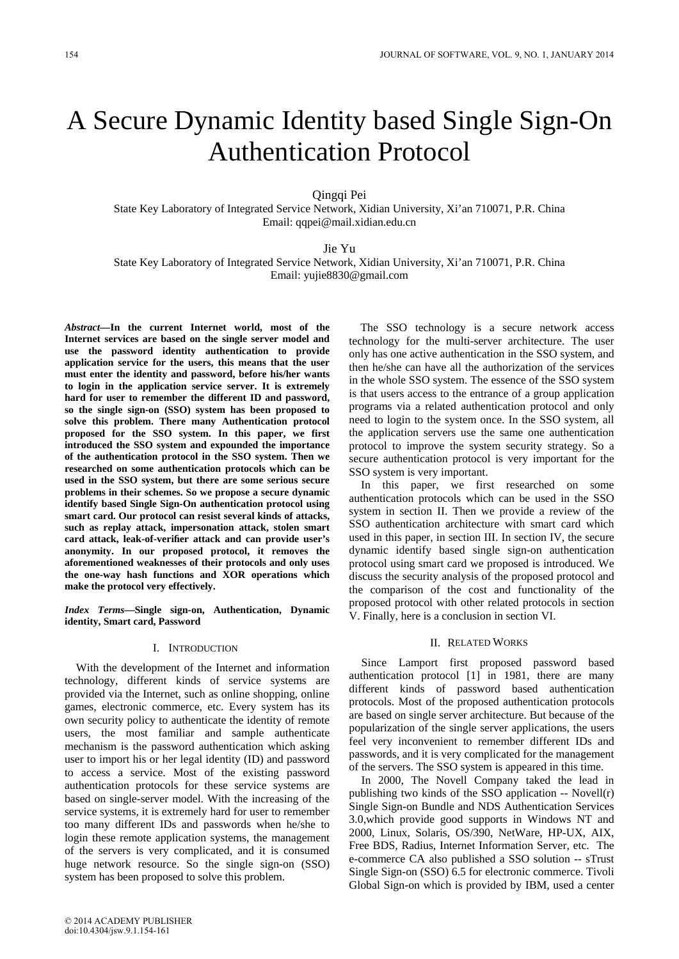# A Secure Dynamic Identity based Single Sign-On Authentication Protocol

Qingqi Pei

State Key Laboratory of Integrated Service Network, Xidian University, Xi'an 710071, P.R. China Email: qqpei@mail.xidian.edu.cn

Jie Yu

State Key Laboratory of Integrated Service Network, Xidian University, Xi'an 710071, P.R. China Email: yujie8830@gmail.com

*Abstract***—In the current Internet world, most of the Internet services are based on the single server model and use the password identity authentication to provide application service for the users, this means that the user must enter the identity and password, before his/her wants to login in the application service server. It is extremely hard for user to remember the different ID and password, so the single sign-on (SSO) system has been proposed to solve this problem. There many Authentication protocol proposed for the SSO system. In this paper, we first introduced the SSO system and expounded the importance of the authentication protocol in the SSO system. Then we researched on some authentication protocols which can be used in the SSO system, but there are some serious secure problems in their schemes. So we propose a secure dynamic identify based Single Sign-On authentication protocol using smart card. Our protocol can resist several kinds of attacks, such as replay attack, impersonation attack, stolen smart card attack, leak-of-verifier attack and can provide user's anonymity. In our proposed protocol, it removes the aforementioned weaknesses of their protocols and only uses the one-way hash functions and XOR operations which make the protocol very effectively.** 

*Index Terms***—Single sign-on, Authentication, Dynamic identity, Smart card, Password** 

## I. INTRODUCTION

With the development of the Internet and information technology, different kinds of service systems are provided via the Internet, such as online shopping, online games, electronic commerce, etc. Every system has its own security policy to authenticate the identity of remote users, the most familiar and sample authenticate mechanism is the password authentication which asking user to import his or her legal identity (ID) and password to access a service. Most of the existing password authentication protocols for these service systems are based on single-server model. With the increasing of the service systems, it is extremely hard for user to remember too many different IDs and passwords when he/she to login these remote application systems, the management of the servers is very complicated, and it is consumed huge network resource. So the single sign-on (SSO) system has been proposed to solve this problem.

The SSO technology is a secure network access technology for the multi-server architecture. The user only has one active authentication in the SSO system, and then he/she can have all the authorization of the services in the whole SSO system. The essence of the SSO system is that users access to the entrance of a group application programs via a related authentication protocol and only need to login to the system once. In the SSO system, all the application servers use the same one authentication protocol to improve the system security strategy. So a secure authentication protocol is very important for the SSO system is very important.

In this paper, we first researched on some authentication protocols which can be used in the SSO system in section II. Then we provide a review of the SSO authentication architecture with smart card which used in this paper, in section III. In section IV, the secure dynamic identify based single sign-on authentication protocol using smart card we proposed is introduced. We discuss the security analysis of the proposed protocol and the comparison of the cost and functionality of the proposed protocol with other related protocols in section V. Finally, here is a conclusion in section VI.

# II. RELATED WORKS

Since Lamport first proposed password based authentication protocol [1] in 1981, there are many different kinds of password based authentication protocols. Most of the proposed authentication protocols are based on single server architecture. But because of the popularization of the single server applications, the users feel very inconvenient to remember different IDs and passwords, and it is very complicated for the management of the servers. The SSO system is appeared in this time.

In 2000, The Novell Company taked the lead in publishing two kinds of the SSO application -- Novell(r) Single Sign-on Bundle and NDS Authentication Services 3.0,which provide good supports in Windows NT and 2000, Linux, Solaris, OS/390, NetWare, HP-UX, AIX, Free BDS, Radius, Internet Information Server, etc. The e-commerce CA also published a SSO solution -- sTrust Single Sign-on (SSO) 6.5 for electronic commerce. Tivoli Global Sign-on which is provided by IBM, used a center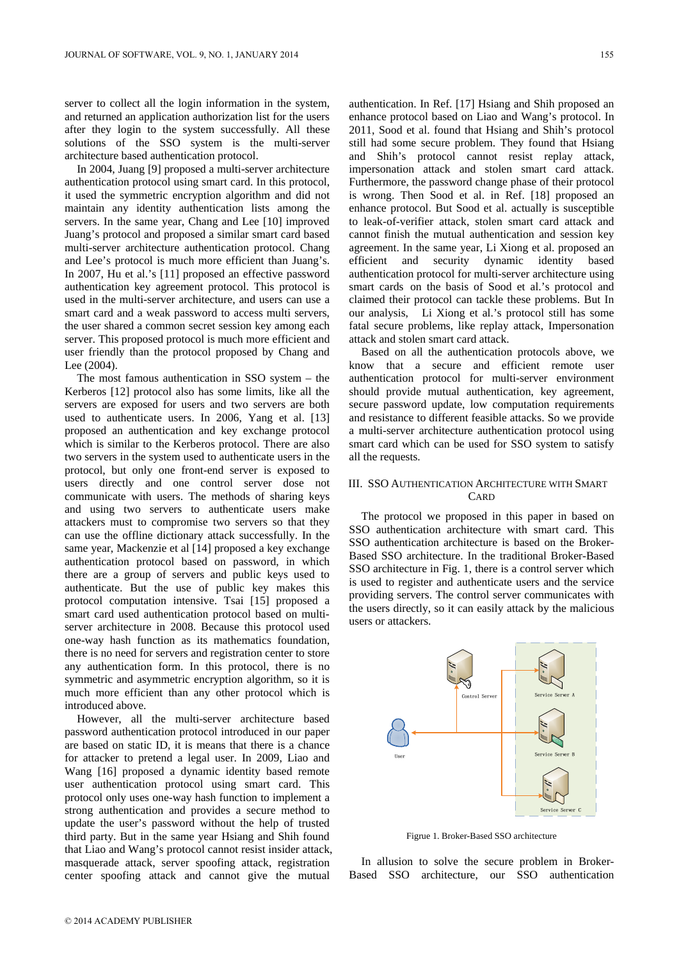server to collect all the login information in the system, and returned an application authorization list for the users after they login to the system successfully. All these solutions of the SSO system is the multi-server architecture based authentication protocol.

In 2004, Juang [9] proposed a multi-server architecture authentication protocol using smart card. In this protocol, it used the symmetric encryption algorithm and did not maintain any identity authentication lists among the servers. In the same year, Chang and Lee [10] improved Juang's protocol and proposed a similar smart card based multi-server architecture authentication protocol. Chang and Lee's protocol is much more efficient than Juang's. In 2007, Hu et al.'s [11] proposed an effective password authentication key agreement protocol. This protocol is used in the multi-server architecture, and users can use a smart card and a weak password to access multi servers, the user shared a common secret session key among each server. This proposed protocol is much more efficient and user friendly than the protocol proposed by Chang and Lee (2004).

The most famous authentication in SSO system – the Kerberos [12] protocol also has some limits, like all the servers are exposed for users and two servers are both used to authenticate users. In 2006, Yang et al. [13] proposed an authentication and key exchange protocol which is similar to the Kerberos protocol. There are also two servers in the system used to authenticate users in the protocol, but only one front-end server is exposed to users directly and one control server dose not communicate with users. The methods of sharing keys and using two servers to authenticate users make attackers must to compromise two servers so that they can use the offline dictionary attack successfully. In the same year, Mackenzie et al [14] proposed a key exchange authentication protocol based on password, in which there are a group of servers and public keys used to authenticate. But the use of public key makes this protocol computation intensive. Tsai [15] proposed a smart card used authentication protocol based on multiserver architecture in 2008. Because this protocol used one-way hash function as its mathematics foundation, there is no need for servers and registration center to store any authentication form. In this protocol, there is no symmetric and asymmetric encryption algorithm, so it is much more efficient than any other protocol which is introduced above.

However, all the multi-server architecture based password authentication protocol introduced in our paper are based on static ID, it is means that there is a chance for attacker to pretend a legal user. In 2009, Liao and Wang [16] proposed a dynamic identity based remote user authentication protocol using smart card. This protocol only uses one-way hash function to implement a strong authentication and provides a secure method to update the user's password without the help of trusted third party. But in the same year Hsiang and Shih found that Liao and Wang's protocol cannot resist insider attack, masquerade attack, server spoofing attack, registration center spoofing attack and cannot give the mutual

authentication. In Ref. [17] Hsiang and Shih proposed an enhance protocol based on Liao and Wang's protocol. In 2011, Sood et al. found that Hsiang and Shih's protocol still had some secure problem. They found that Hsiang and Shih's protocol cannot resist replay attack, impersonation attack and stolen smart card attack. Furthermore, the password change phase of their protocol is wrong. Then Sood et al. in Ref. [18] proposed an enhance protocol. But Sood et al. actually is susceptible to leak-of-verifier attack, stolen smart card attack and cannot finish the mutual authentication and session key agreement. In the same year, Li Xiong et al. proposed an efficient and security dynamic identity based authentication protocol for multi-server architecture using smart cards on the basis of Sood et al.'s protocol and claimed their protocol can tackle these problems. But In our analysis, Li Xiong et al.'s protocol still has some

Based on all the authentication protocols above, we know that a secure and efficient remote user authentication protocol for multi-server environment should provide mutual authentication, key agreement, secure password update, low computation requirements and resistance to different feasible attacks. So we provide a multi-server architecture authentication protocol using smart card which can be used for SSO system to satisfy all the requests.

fatal secure problems, like replay attack, Impersonation

attack and stolen smart card attack.

## III. SSO AUTHENTICATION ARCHITECTURE WITH SMART **CARD**

The protocol we proposed in this paper in based on SSO authentication architecture with smart card. This SSO authentication architecture is based on the Broker-Based SSO architecture. In the traditional Broker-Based SSO architecture in Fig. 1, there is a control server which is used to register and authenticate users and the service providing servers. The control server communicates with the users directly, so it can easily attack by the malicious users or attackers.



Figrue 1. Broker-Based SSO architecture

In allusion to solve the secure problem in Broker-Based SSO architecture, our SSO authentication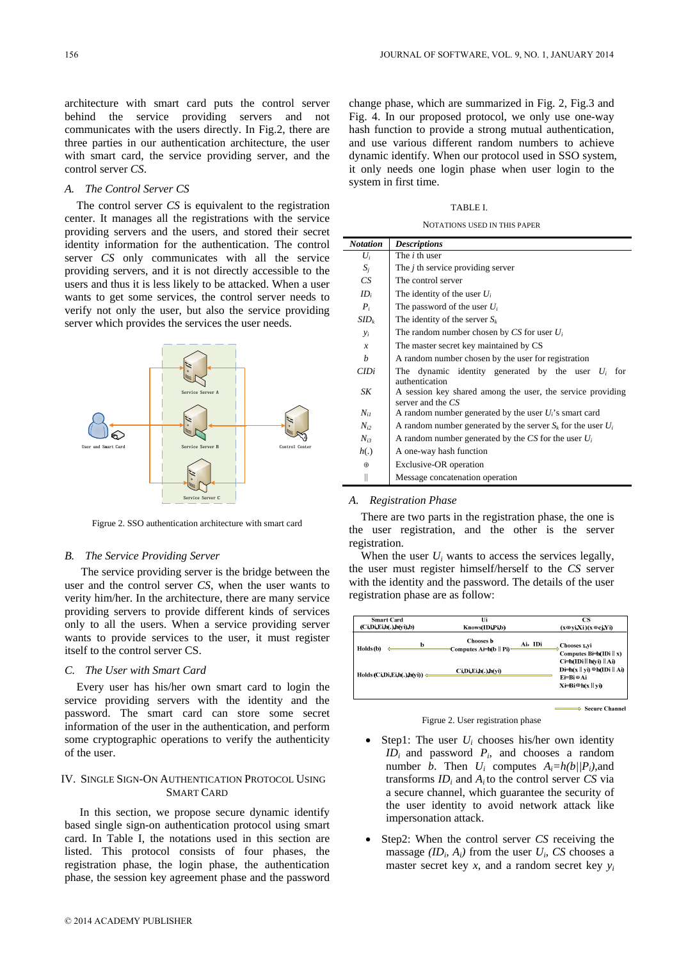architecture with smart card puts the control server behind the service providing servers and not communicates with the users directly. In Fig.2, there are three parties in our authentication architecture, the user with smart card, the service providing server, and the control server *CS*.

# *A. The Control Server CS*

The control server *CS* is equivalent to the registration center. It manages all the registrations with the service providing servers and the users, and stored their secret identity information for the authentication. The control server *CS* only communicates with all the service providing servers, and it is not directly accessible to the users and thus it is less likely to be attacked. When a user wants to get some services, the control server needs to verify not only the user, but also the service providing server which provides the services the user needs.



Figrue 2. SSO authentication architecture with smart card

## *B. The Service Providing Server*

The service providing server is the bridge between the user and the control server *CS*, when the user wants to verity him/her. In the architecture, there are many service providing servers to provide different kinds of services only to all the users. When a service providing server wants to provide services to the user, it must register itself to the control server CS.

# *C. The User with Smart Card*

Every user has his/her own smart card to login the service providing servers with the identity and the password. The smart card can store some secret information of the user in the authentication, and perform some cryptographic operations to verify the authenticity of the user.

# IV. SINGLE SIGN-ON AUTHENTICATION PROTOCOL USING SMART CARD

 In this section, we propose secure dynamic identify based single sign-on authentication protocol using smart card. In Table I, the notations used in this section are listed. This protocol consists of four phases, the registration phase, the login phase, the authentication phase, the session key agreement phase and the password

There are two parts in the registration phase, the one is the user registration, and the other is the server registration.

> When the user *U<sub>i</sub>* wants to access the services legally, the user must register himself/herself to the *CS* server with the identity and the password. The details of the user registration phase are as follow:

| Smart Card                               | Ui                                                       | CS<br>$(x \oplus yi, Xi)(x \oplus c_i, Yi)$                                                  |  |
|------------------------------------------|----------------------------------------------------------|----------------------------------------------------------------------------------------------|--|
| (Ci, Di, Ei, h(.), h(yi), b)             | Knows(IDi,Pi,b)                                          |                                                                                              |  |
| b<br>Holds (b)                           | Chooses b<br>Ai. IDi<br><b>=Computes Ai=h(b    Pi)</b> ∙ | Chooses Lyi<br>Computes $\text{Bi}=h(\text{IDi} \mid x)$<br>$Ci=h(ID   h(vi)   Ai)$          |  |
| Holds (Ci.Di.Ei,h(.),h(vi)) $\Leftarrow$ | $Ci$ , $Di$ , $E$ i, $h(.)$ , $h(vi)$                    | $D = h(x    yi) \oplus h(IDi    Ai)$<br>$E = B$ i $\oplus$ Ai<br>$X = Bi \oplus h(x    v_i)$ |  |

Figrue 2. User registration phase

Secure Channel

- Step1: The user  $U_i$  chooses his/her own identity *IDi* and password *Pi*, and chooses a random number *b*. Then  $U_i$  computes  $A_i=h(b)/P_i$ , and transforms *IDi* and *Ai* to the control server *CS* via a secure channel, which guarantee the security of the user identity to avoid network attack like impersonation attack.
- Step2: When the control server *CS* receiving the massage  $(ID_i, A_i)$  from the user  $U_i$ , *CS* chooses a master secret key  $x$ , and a random secret key  $y_i$

change phase, which are summarized in Fig. 2, Fig.3 and Fig. 4. In our proposed protocol, we only use one-way hash function to provide a strong mutual authentication, and use various different random numbers to achieve dynamic identify. When our protocol used in SSO system, it only needs one login phase when user login to the system in first time.

#### TABLE I.

NOTATIONS USED IN THIS PAPER

| <b>Notation</b> | <b>Descriptions</b>                                                             |  |  |  |
|-----------------|---------------------------------------------------------------------------------|--|--|--|
| $U_i$           | The <i>i</i> th user                                                            |  |  |  |
| $S_i$           | The <i>j</i> th service providing server                                        |  |  |  |
| CS <sup>-</sup> | The control server                                                              |  |  |  |
| $ID_i$          | The identity of the user $U_i$                                                  |  |  |  |
| $P_i$           | The password of the user $U_i$                                                  |  |  |  |
| $SID_k$         | The identity of the server $S_k$                                                |  |  |  |
| $y_i$           | The random number chosen by CS for user $U_i$                                   |  |  |  |
| $\mathcal{X}$   | The master secret key maintained by CS                                          |  |  |  |
| b               | A random number chosen by the user for registration                             |  |  |  |
| CIDi            | dynamic identity generated by the user $U_i$ for<br>The<br>authentication       |  |  |  |
| SK              | A session key shared among the user, the service providing<br>server and the CS |  |  |  |
| $N_{iI}$        | A random number generated by the user $U_i$ 's smart card                       |  |  |  |
| $N_{i2}$        | A random number generated by the server $S_k$ for the user $U_i$                |  |  |  |
| $N_{i3}$        | A random number generated by the CS for the user $U_i$                          |  |  |  |
| h(.)            | A one-way hash function                                                         |  |  |  |
| $\oplus$        | Exclusive-OR operation                                                          |  |  |  |
|                 | Message concatenation operation                                                 |  |  |  |

# *A. Registration Phase*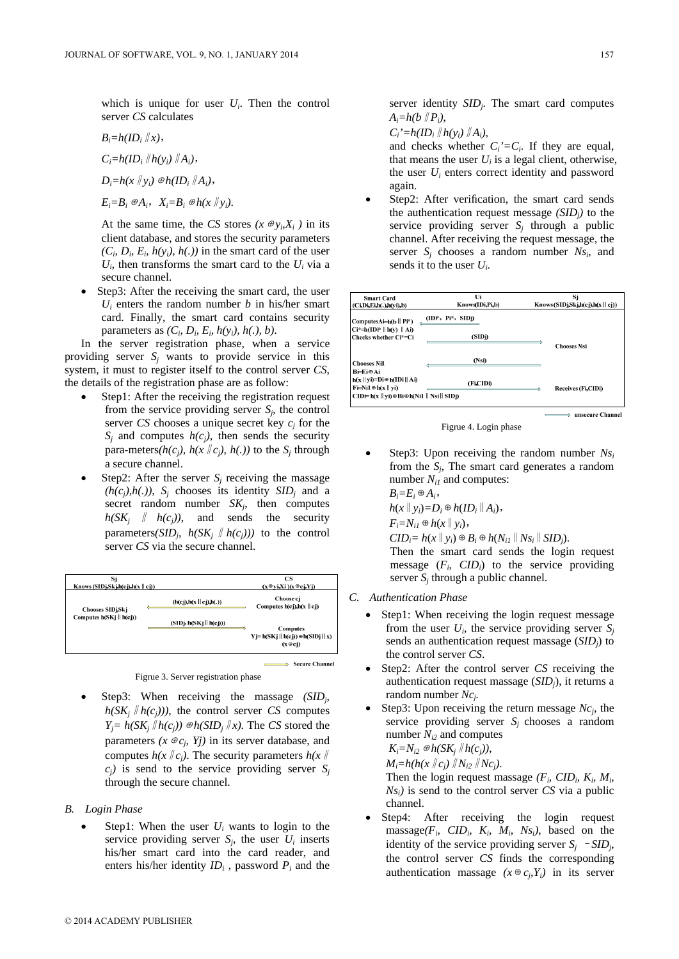which is unique for user  $U_i$ . Then the control server *CS* calculates

$$
B_i=h(ID_i \parallel x),
$$
  
\n
$$
C_i=h(ID_i \parallel h(y_i) \parallel A_i),
$$
  
\n
$$
D_i=h(x \parallel y_i) \oplus h(ID_i \parallel A_i),
$$

 $E_i=B_i\oplus A_i$ ,  $X_i=B_i\oplus h(x \nVert y_i)$ .

At the same time, the *CS* stores  $(x \oplus y_i, X_i)$  in its client database, and stores the security parameters  $(C_i, D_i, E_i, h(y_i), h(.)$  in the smart card of the user  $U_i$ , then transforms the smart card to the  $U_i$  via a secure channel.

• Step3: After the receiving the smart card, the user  $U_i$  enters the random number  $b$  in his/her smart card. Finally, the smart card contains security parameters as  $(C_i, D_i, E_i, h(y_i), h(.), b)$ .

In the server registration phase, when a service providing server  $S_i$  wants to provide service in this system, it must to register itself to the control server *CS*, the details of the registration phase are as follow:

- Step1: After the receiving the registration request from the service providing server  $S_i$ , the control server *CS* chooses a unique secret key  $c_i$  for the  $S_i$  and computes  $h(c_i)$ , then sends the security para-meters( $h(c_i)$ ,  $h(x \nparallel c_i)$ ,  $h(.)$ ) to the *S<sub>i</sub>* through a secure channel.
- Step2: After the server  $S_i$  receiving the massage  $(h(c_j), h(.))$ , *S<sub>i</sub>* chooses its identity *SID<sub>i</sub>* and a secret random number *SK<sub>i</sub>*, then computes  $h(SK_i \parallel h(c_i))$ , and sends the security parameters( $SID_i$ ,  $h(SK_i \nparallel h(c_i))$ ) to the control server *CS* via the secure channel.



Figrue 3. Server registration phase

• Step3: When receiving the massage *(SIDj,*   $h(SK_i \nparallel h(c_i)))$ , the control server *CS* computes *Y<sub>j</sub>*=  $h(SK_j \nparallel h(c_j)) ⊕ h(SID_j \nparallel x)$ . The *CS* stored the parameters  $(x \oplus c_j, Y_j)$  in its server database, and computes  $h(x \mid c_i)$ . The security parameters  $h(x \mid c_i)$  $c_i$ ) is send to the service providing server  $S_i$ through the secure channel.

## *B. Login Phase*

Step1: When the user  $U_i$  wants to login to the service providing server  $S_i$ , the user  $U_i$  inserts his/her smart card into the card reader, and enters his/her identity  $ID_i$ , password  $P_i$  and the server identity *SIDj*. The smart card computes  $A_i=h(b \nparallel P_i),$ 

 $C_i' = h(ID_i / h(y_i) / A_i),$ 

and checks whether  $C_i' = C_i$ . If they are equal, that means the user  $U_i$  is a legal client, otherwise, the user *Ui* enters correct identity and password again.

Step2: After verification, the smart card sends the authentication request message *(SIDj)* to the service providing server  $S_i$  through a public channel. After receiving the request message, the server  $S_i$  chooses a random number  $Ns_i$ , and sends it to the user *Ui*.

| <b>Smart Card</b><br>(Ci.Di.Ei.h(.).h(vi.b)                                                                                           | Ui<br>Knows(IDi,Pi,b) | Si<br>Knows (SIDj, Skj, h(cj), h(x $  $ cj)) |  |
|---------------------------------------------------------------------------------------------------------------------------------------|-----------------------|----------------------------------------------|--|
| Computes $Ai=h(b \mid Pi^*)$<br>$Ci^* = h(IDi^*    h(v)    Ai)$                                                                       | (IDi*,Pi*,SIDj)       |                                              |  |
| Checks whether Ci*=Ci                                                                                                                 | (SID <sub>i</sub> )   | <b>Chooses Nsi</b>                           |  |
| <b>Chooses Ni1</b><br>$B = E i \oplus Ai$                                                                                             | (Nsi)                 |                                              |  |
| $h(x \mid v_i)=Di \oplus h(ID \mid A_i)$<br>$Fi=Ni1 \oplus h(x \mid yi)$<br>$CID = h(x    yi) \oplus Bi \oplus h(Ni1    Nsi    SIDi)$ | (Fi,CIDi)             | Receives (Fi,CIDi)                           |  |

 $\Rightarrow$  unsecure Channel

Figrue 4. Login phase

Step3: Upon receiving the random number  $Ns_i$ from the  $S_i$ , The smart card generates a random number  $N_{i1}$  and computes:  $B_i = E_i \oplus A_i$ 

 $h(x \, \| \, y_i) = D_i \oplus h(ID_i \, \| \, A_i),$ *F<sub>i</sub>*=*N<sub>i1</sub>* ⊕ *h*(*x*  $\parallel$  *y<sub>i</sub>*), *CID<sub>i</sub>*=  $h(x \parallel y_i) ⊕ B_i ⊕ h(N_{i1} \parallel Ns_i \parallel SID_i)$ . Then the smart card sends the login request message  $(F_i, \text{CID}_i)$  to the service providing

server  $S_i$  through a public channel.

- *C. Authentication Phase* 
	- Step1: When receiving the login request message from the user  $U_i$ , the service providing server  $S_i$ sends an authentication request massage (*SIDj*) to the control server *CS*.
	- Step2: After the control server *CS* receiving the authentication request massage (*SIDj*), it returns a random number *Ncj.*
	- Step3: Upon receiving the return message *Ncj*, the service providing server *Sj* chooses a random number  $N_{i2}$  and computes

$$
K_i = N_{i2} \oplus h(SK_j \# h(c_j)),
$$

 $M_i = h(h(x \nparallel c_j) \nparallel N_{i2} \nparallel N_{i2}).$ 

Then the login request massage  $(F_i, CID_i, K_i, M_i,$  $Ns_i$ ) is send to the control server *CS* via a public channel.

Step4: After receiving the login request massage $(F_i, CID_i, K_i, M_i, Ns_i)$ , based on the identity of the service providing server  $S_i$  –  $SID_i$ , the control server *CS* finds the corresponding authentication massage  $(x \oplus c_i, Y_i)$  in its server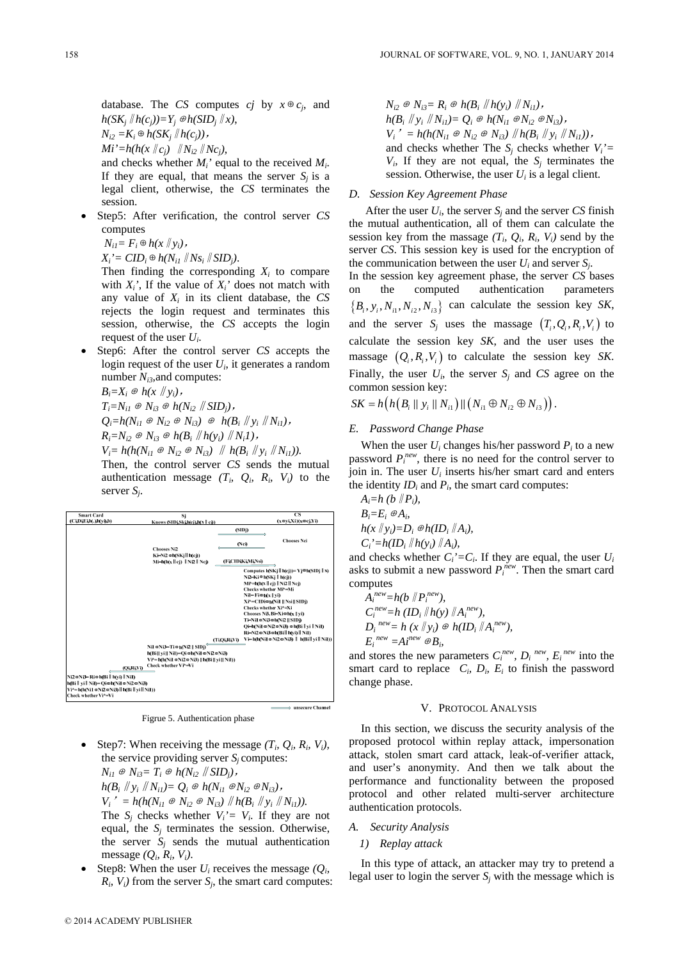database. The *CS* computes *cj* by  $x \oplus c_j$ , and  $h(SK_j \nparallel h(c_j))=Y_j \nparallel h(SID_j \nparallel x)$ ,  $N_{i2} = K_i ⊕ h(SK_i ∥ h(c_i))$ , *Mi*'= $h(h(x \nvert c_i)$   $\|N_{i2} \|N_{c_i}),$ and checks whether *Mi'* equal to the received *Mi*. If they are equal, that means the server  $S_i$  is a

legal client, otherwise, the *CS* terminates the session.

Step5: After verification, the control server *CS* computes

 $N_{i,j} = F_i \oplus h(x \nvert y_i)$ ,

$$
X_i = \mathbf{CID}_i \oplus h(N_{i1} \mathbin{N} N_{s_i} \mathbin{N} \mathbf{SID}_j).
$$

Then finding the corresponding  $X_i$  to compare with  $X_i'$ , If the value of  $X_i'$  does not match with any value of *Xi* in its client database, the *CS* rejects the login request and terminates this session, otherwise, the *CS* accepts the login request of the user *Ui*.

Step6: After the control server *CS* accepts the login request of the user *Ui*, it generates a random number  $N_{i3}$ , and computes:

 $B_i = X_i \oplus h(x \nvert y_i)$ ,

 $T_i = N_{i1} ⊕ N_{i3} ⊕ h(N_{i2} \nparallel SID_i)$ ,

*Q<sub>i</sub>*= $h(N_{i1} ⊕ N_{i2} ⊕ N_{i3}) ⊕ h(B_i ∥ y_i ∥ N_{i1}),$ 

*R<sub>i</sub>*=*N<sub>i2</sub>*  $\oplus$  *N<sub>i3</sub>*  $\oplus$  *h*(*B<sub>i</sub>*</sub> *|| h*(*y<sub>i</sub>*)</sub> *|| N<sub>i</sub>1*),

*V<sub>i</sub>*=  $h(h(N_{i1} ⊕ N_{i2} ⊕ N_{i3})$  *‖*  $h(B_i ∥ y_i ∥ N_{i1})$ .

Then, the control server *CS* sends the mutual authentication message  $(T_i, Q_i, R_i, V_i)$  to the server *Sj*.



Figrue 5. Authentication phase

- Step7: When receiving the message  $(T_i, Q_i, R_i, V_i)$ , the service providing server  $S_i$  computes:  $N_{i1} ⊕ N_{i3} = T_i ⊕ h(N_{i2} \nparallel SID_i)$ 
	- $h(B_i \nparallel y_i \nparallel N_{i1}) = Q_i \oplus h(N_{i1} \oplus N_{i2} \oplus N_{i3})$ ,  $V_i' = h(h(N_{i1} \oplus N_{i2} \oplus N_{i3}) \# h(B_i \# \mathcal{Y}_i \# N_{i1})).$ The  $S_i$  checks whether  $V_i' = V_i$ . If they are not equal, the  $S_i$  terminates the session. Otherwise, the server  $S_i$  sends the mutual authentication message  $(Q_i, R_i, V_i)$ .
- Step8: When the user  $U_i$  receives the message  $(O_i,$  $R_i$ ,  $V_i$ ) from the server  $S_i$ , the smart card computes:

*N<sub>i2</sub>*  $\oplus$  *N<sub>i3</sub>*  $=$  *R<sub>i</sub>* $\oplus$  *h*(*B<sub>i</sub>*</sub>  $\#h(y_i)$   $\#N_{i1}$ ),  $h(B_i \nparallel y_i \nparallel N_{i1}) = Q_i \nparallel h(N_{i1} \nparallel N_{i2} \nparallel N_{i3})$ ,  $V_i$ <sup>'</sup> =  $h(h(N_{i1} \oplus N_{i2} \oplus N_{i3})$  // $h(B_i | y_i | / N_{i1})$ ), and checks whether The  $S_i$  checks whether  $V_i'$  $V_i$ , If they are not equal, the  $S_i$  terminates the session. Otherwise, the user  $U_i$  is a legal client.

# *D. Session Key Agreement Phase*

After the user  $U_i$ , the server  $S_i$  and the server  $CS$  finish the mutual authentication, all of them can calculate the session key from the massage  $(T_i, Q_i, R_i, V_i)$  send by the server *CS*. This session key is used for the encryption of the communication between the user  $U_i$  and server  $S_i$ . In the session key agreement phase, the server *CS* bases on the computed authentication parameters  ${B_i, y_i, N_{i1}, N_{i2}, N_{i3}}$  can calculate the session key *SK*, and the server  $S_i$  uses the massage  $(T_i, Q_i, R_i, V_i)$  to calculate the session key *SK*, and the user uses the massage  $(Q_i, R_i, V_i)$  to calculate the session key *SK*. Finally, the user  $U_i$ , the server  $S_i$  and  $CS$  agree on the common session key:

 $SK = h(h(B_i || y_i || N_{i1})) || (N_{i1} \oplus N_{i2} \oplus N_{i3}))$ .

# *E. Password Change Phase*

When the user  $U_i$  changes his/her password  $P_i$  to a new password  $P_i^{new}$ , there is no need for the control server to join in. The user  $U_i$  inserts his/her smart card and enters the identity  $ID_i$  and  $P_i$ , the smart card computes:

$$
A_i=h (b \nparallel P_i),
$$
  
\n
$$
B_i=E_i \nparallel A_i,
$$
  
\n
$$
h(x \nparallel y_i)=D_i \nparallel (ID_i \nparallel A_i),
$$
  
\n
$$
C_i=h(ID_i \nparallel h(y_i) \nparallel A_i),
$$

and checks whether  $C_i = C_i$ . If they are equal, the user  $U_i$ asks to submit a new password  $P_i^{new}$ . Then the smart card computes

$$
A_i^{new} = h(b \parallel P_i^{new}),
$$
  
\n
$$
C_i^{new} = h (ID_i \parallel h(y) \parallel A_i^{new}),
$$
  
\n
$$
D_i^{new} = h (x \parallel y_i) \oplus h(ID_i \parallel A_i^{new}),
$$
  
\n
$$
E_i^{new} = Ai^{new} \oplus B_i,
$$

and stores the new parameters  $C_i^{new}$ ,  $D_i^{new}$ ,  $E_i^{new}$  into the smart card to replace  $C_i$ ,  $D_i$ ,  $E_i$  to finish the password change phase.

#### V. PROTOCOL ANALYSIS

In this section, we discuss the security analysis of the proposed protocol within replay attack, impersonation attack, stolen smart card attack, leak-of-verifier attack, and user's anonymity. And then we talk about the performance and functionality between the proposed protocol and other related multi-server architecture authentication protocols.

# *A. Security Analysis*

## *1) Replay attack*

In this type of attack, an attacker may try to pretend a legal user to login the server  $S_i$  with the message which is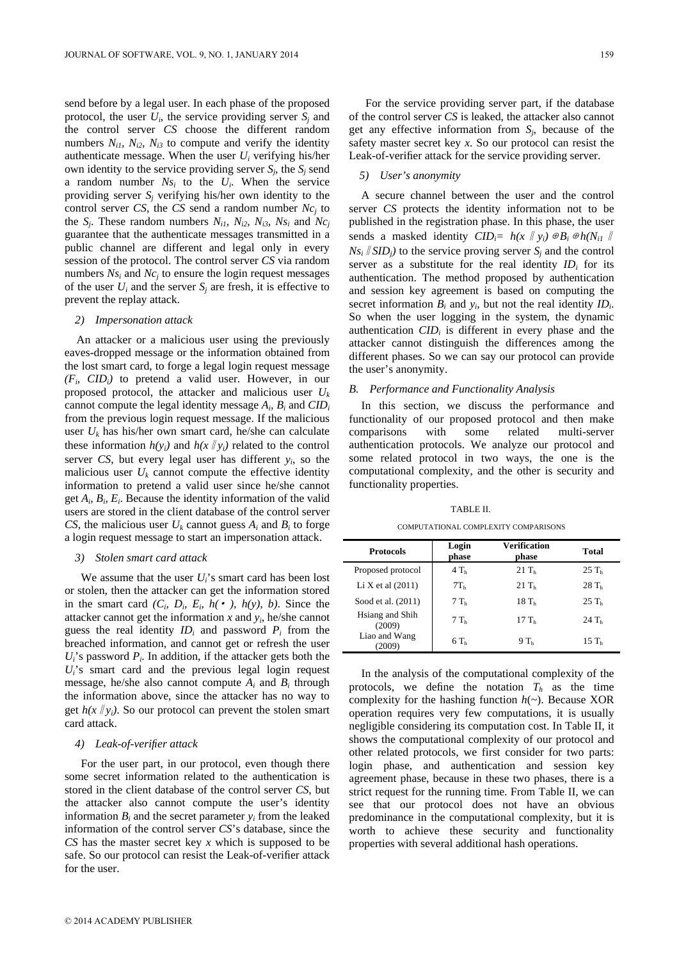send before by a legal user. In each phase of the proposed protocol, the user  $U_i$ , the service providing server  $S_i$  and the control server *CS* choose the different random numbers  $N_{i1}$ ,  $N_{i2}$ ,  $N_{i3}$  to compute and verify the identity authenticate message. When the user  $U_i$  verifying his/her own identity to the service providing server  $S_i$ , the  $S_j$  send a random number  $Ns_i$  to the  $U_i$ . When the service providing server  $S_i$  verifying his/her own identity to the control server *CS*, the *CS* send a random number *Ncj* to the  $S_j$ . These random numbers  $N_{i1}$ ,  $N_{i2}$ ,  $N_{i3}$ ,  $Ns_i$  and  $Nc_j$ guarantee that the authenticate messages transmitted in a public channel are different and legal only in every session of the protocol. The control server *CS* via random numbers  $Ns_i$  and  $Nc_j$  to ensure the login request messages of the user  $U_i$  and the server  $S_i$  are fresh, it is effective to prevent the replay attack.

## *2) Impersonation attack*

An attacker or a malicious user using the previously eaves-dropped message or the information obtained from the lost smart card, to forge a legal login request message  $(F_i, CID_i)$  to pretend a valid user. However, in our proposed protocol, the attacker and malicious user *Uk* cannot compute the legal identity message *Ai, Bi* and *CIDi* from the previous login request message. If the malicious user  $U_k$  has his/her own smart card, he/she can calculate these information  $h(y_i)$  and  $h(x \mid y_i)$  related to the control server *CS*, but every legal user has different  $y_i$ , so the malicious user  $U_k$  cannot compute the effective identity information to pretend a valid user since he/she cannot get *Ai, Bi, Ei*. Because the identity information of the valid users are stored in the client database of the control server *CS*, the malicious user  $U_k$  cannot guess  $A_i$  and  $B_i$  to forge a login request message to start an impersonation attack.

#### *3) Stolen smart card attack*

We assume that the user  $U_i$ 's smart card has been lost or stolen, then the attacker can get the information stored in the smart card  $(C_i, D_i, E_i, h(\cdot), h(y), b)$ . Since the attacker cannot get the information *x* and *yi*, he/she cannot guess the real identity  $ID_i$  and password  $P_i$  from the breached information, and cannot get or refresh the user  $U_i$ 's password  $P_i$ . In addition, if the attacker gets both the  $U_i$ 's smart card and the previous legal login request message, he/she also cannot compute  $A_i$  and  $B_i$  through the information above, since the attacker has no way to get  $h(x \mid y_i)$ . So our protocol can prevent the stolen smart card attack.

#### *4) Leak-of-verifier attack*

For the user part, in our protocol, even though there some secret information related to the authentication is stored in the client database of the control server *CS*, but the attacker also cannot compute the user's identity information  $B_i$  and the secret parameter  $y_i$  from the leaked information of the control server *CS*'s database, since the *CS* has the master secret key *x* which is supposed to be safe. So our protocol can resist the Leak-of-verifier attack for the user.

For the service providing server part, if the database of the control server *CS* is leaked, the attacker also cannot get any effective information from  $S_i$ , because of the safety master secret key *x*. So our protocol can resist the Leak-of-verifier attack for the service providing server.

## *5) User's anonymity*

A secure channel between the user and the control server *CS* protects the identity information not to be published in the registration phase. In this phase, the user sends a masked identity  $CID_i = h(x \nmid y_i) \oplus B_i \oplus h(N_i) \nmid \emptyset$  $Ns_i$  *SID<sub>i</sub>*) to the service proving server *S<sub>i</sub>* and the control server as a substitute for the real identity *IDi* for its authentication. The method proposed by authentication and session key agreement is based on computing the secret information  $B_i$  and  $y_i$ , but not the real identity  $ID_i$ . So when the user logging in the system, the dynamic authentication  $CID<sub>i</sub>$  is different in every phase and the attacker cannot distinguish the differences among the different phases. So we can say our protocol can provide the user's anonymity.

#### *B. Performance and Functionality Analysis*

In this section, we discuss the performance and functionality of our proposed protocol and then make comparisons with some related multi-server authentication protocols. We analyze our protocol and some related protocol in two ways, the one is the computational complexity, and the other is security and functionality properties.

## TABLE II.

| <b>Protocols</b>          | Login<br>phase  | Verification<br>phase | Total             |
|---------------------------|-----------------|-----------------------|-------------------|
| Proposed protocol         | 4T <sub>h</sub> | 21 T <sub>h</sub>     | 25T <sub>h</sub>  |
| Li X et al $(2011)$       | 7T <sub>h</sub> | 21 T <sub>h</sub>     | 28T <sub>h</sub>  |
| Sood et al. (2011)        | 7T <sub>h</sub> | 18T <sub>h</sub>      | 25 T <sub>h</sub> |
| Hsiang and Shih<br>(2009) | 7T <sub>h</sub> | 17T <sub>h</sub>      | 24T <sub>h</sub>  |
| Liao and Wang<br>(2009)   | 6T <sub>h</sub> | 9T <sub>h</sub>       | 15 Ть             |

In the analysis of the computational complexity of the protocols, we define the notation  $T<sub>h</sub>$  as the time complexity for the hashing function  $h(\sim)$ . Because XOR operation requires very few computations, it is usually negligible considering its computation cost. In Table II, it shows the computational complexity of our protocol and other related protocols, we first consider for two parts: login phase, and authentication and session key agreement phase, because in these two phases, there is a strict request for the running time. From Table II, we can see that our protocol does not have an obvious predominance in the computational complexity, but it is worth to achieve these security and functionality properties with several additional hash operations.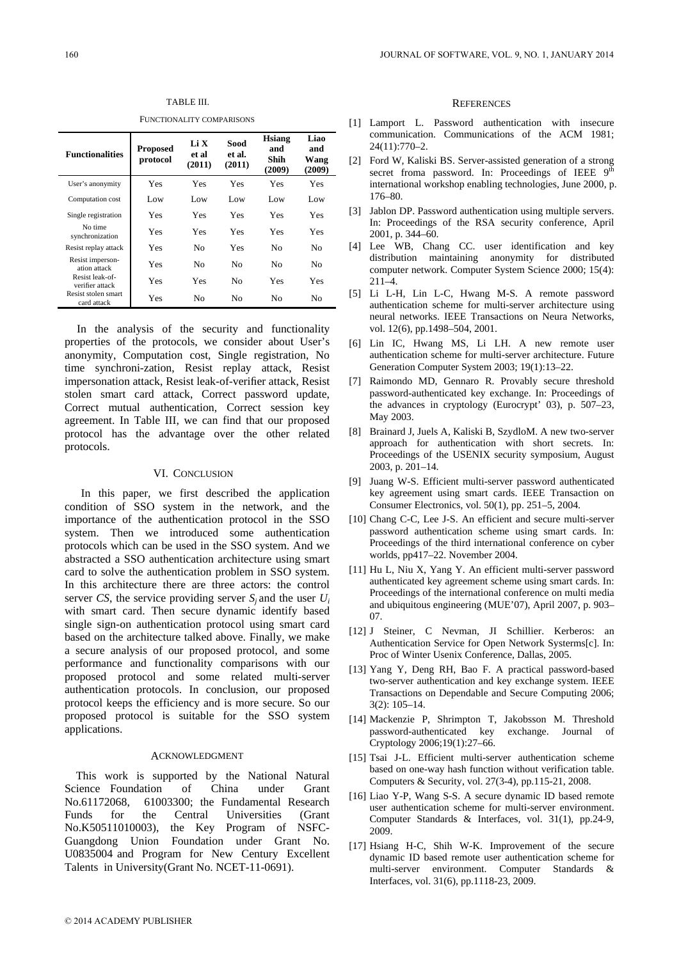TABLE III. FUNCTIONALITY COMPARISONS

| <b>Functionalities</b>             | <b>Proposed</b><br>protocol | Li X<br>et al<br>(2011) | Sood<br>et al.<br>(2011) | <b>Hsiang</b><br>and<br>Shih<br>(2009) | Liao<br>and<br>Wang<br>(2009) |
|------------------------------------|-----------------------------|-------------------------|--------------------------|----------------------------------------|-------------------------------|
| User's anonymity                   | Yes                         | Yes                     | Yes                      | Yes                                    | Yes                           |
| Computation cost                   | Low                         | Low                     | Low                      | Low                                    | Low                           |
| Single registration                | Yes                         | Yes                     | Yes                      | Yes                                    | Yes                           |
| No time<br>synchronization         | Yes                         | Yes                     | Yes                      | Yes                                    | Yes                           |
| Resist replay attack               | Yes                         | No                      | Yes                      | No                                     | No                            |
| Resist imperson-<br>ation attack   | Yes                         | No                      | No                       | No                                     | No                            |
| Resist leak-of-<br>verifier attack | Yes                         | Yes                     | No                       | Yes                                    | Yes                           |
| Resist stolen smart<br>card attack | Yes                         | No                      | Nο                       | No                                     | No                            |

In the analysis of the security and functionality properties of the protocols, we consider about User's anonymity, Computation cost, Single registration, No time synchroni-zation, Resist replay attack, Resist impersonation attack, Resist leak-of-verifier attack, Resist stolen smart card attack, Correct password update, Correct mutual authentication, Correct session key agreement. In Table III, we can find that our proposed protocol has the advantage over the other related protocols.

## VI. CONCLUSION

In this paper, we first described the application condition of SSO system in the network, and the importance of the authentication protocol in the SSO system. Then we introduced some authentication protocols which can be used in the SSO system. And we abstracted a SSO authentication architecture using smart card to solve the authentication problem in SSO system. In this architecture there are three actors: the control server *CS*, the service providing server  $S_i$  and the user  $U_i$ with smart card. Then secure dynamic identify based single sign-on authentication protocol using smart card based on the architecture talked above. Finally, we make a secure analysis of our proposed protocol, and some performance and functionality comparisons with our proposed protocol and some related multi-server authentication protocols. In conclusion, our proposed protocol keeps the efficiency and is more secure. So our proposed protocol is suitable for the SSO system applications.

## ACKNOWLEDGMENT

This work is supported by the National Natural Science Foundation of China under Grant No.61172068, 61003300; the Fundamental Research Funds for the Central Universities (Grant No.K50511010003), the Key Program of NSFC-Guangdong Union Foundation under Grant No. U0835004 and Program for New Century Excellent Talents in University(Grant No. NCET-11-0691).

### **REFERENCES**

- [1] Lamport L. Password authentication with insecure communication. Communications of the ACM 1981; 24(11):770–2.
- [2] Ford W, Kaliski BS. Server-assisted generation of a strong secret froma password. In: Proceedings of IEEE  $9<sup>th</sup>$ international workshop enabling technologies, June 2000, p. 176–80.
- [3] Jablon DP. Password authentication using multiple servers. In: Proceedings of the RSA security conference, April 2001, p. 344–60.
- [4] Lee WB, Chang CC, user identification and key distribution maintaining anonymity for distributed computer network. Computer System Science 2000; 15(4): 211–4.
- [5] Li L-H, Lin L-C, Hwang M-S. A remote password authentication scheme for multi-server architecture using neural networks. IEEE Transactions on Neura Networks, vol. 12(6), pp.1498–504, 2001.
- [6] Lin IC, Hwang MS, Li LH. A new remote user authentication scheme for multi-server architecture. Future Generation Computer System 2003; 19(1):13–22.
- [7] Raimondo MD, Gennaro R. Provably secure threshold password-authenticated key exchange. In: Proceedings of the advances in cryptology (Eurocrypt' 03), p. 507–23, May 2003.
- [8] Brainard J, Juels A, Kaliski B, SzydloM. A new two-server approach for authentication with short secrets. In: Proceedings of the USENIX security symposium, August 2003, p. 201–14.
- [9] Juang W-S. Efficient multi-server password authenticated key agreement using smart cards. IEEE Transaction on Consumer Electronics, vol. 50(1), pp. 251–5, 2004.
- [10] Chang C-C, Lee J-S. An efficient and secure multi-server password authentication scheme using smart cards. In: Proceedings of the third international conference on cyber worlds, pp417–22. November 2004.
- [11] Hu L, Niu X, Yang Y. An efficient multi-server password authenticated key agreement scheme using smart cards. In: Proceedings of the international conference on multi media and ubiquitous engineering (MUE'07), April 2007, p. 903– 07.
- [12] J Steiner, C Nevman, JI Schillier. Kerberos: an Authentication Service for Open Network Systerms[c]. In: Proc of Winter Usenix Conference, Dallas, 2005.
- [13] Yang Y, Deng RH, Bao F. A practical password-based two-server authentication and key exchange system. IEEE Transactions on Dependable and Secure Computing 2006; 3(2): 105–14.
- [14] Mackenzie P, Shrimpton T, Jakobsson M. Threshold password-authenticated key exchange. Journal Cryptology 2006;19(1):27–66.
- [15] Tsai J-L. Efficient multi-server authentication scheme based on one-way hash function without verification table. Computers & Security, vol. 27(3-4), pp.115-21, 2008.
- [16] Liao Y-P, Wang S-S. A secure dynamic ID based remote user authentication scheme for multi-server environment. Computer Standards & Interfaces, vol. 31(1), pp.24-9, 2009.
- [17] Hsiang H-C, Shih W-K. Improvement of the secure dynamic ID based remote user authentication scheme for multi-server environment. Computer Standards & Interfaces, vol. 31(6), pp.1118-23, 2009.